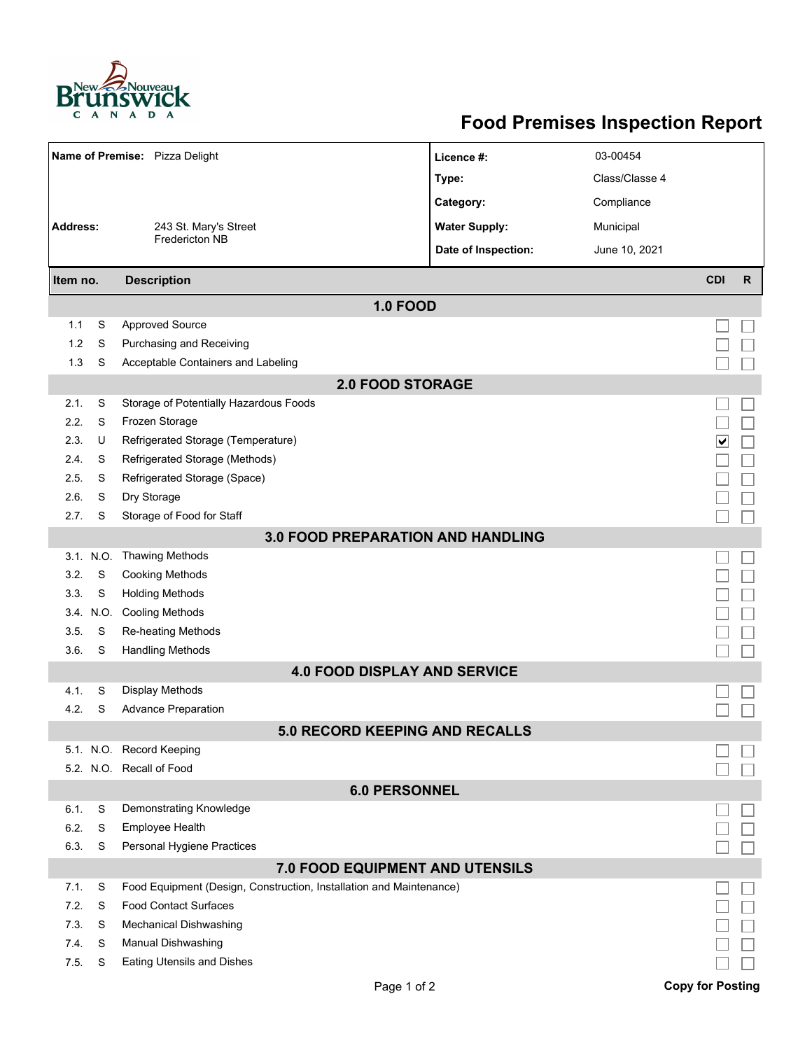

## **Food Premises Inspection Report**

| Name of Premise: Pizza Delight           |             |                                                                     | Licence #:           | 03-00454       |                         |              |  |  |  |  |  |
|------------------------------------------|-------------|---------------------------------------------------------------------|----------------------|----------------|-------------------------|--------------|--|--|--|--|--|
|                                          |             |                                                                     | Type:                | Class/Classe 4 |                         |              |  |  |  |  |  |
|                                          |             |                                                                     | Category:            | Compliance     |                         |              |  |  |  |  |  |
| <b>Address:</b>                          |             | 243 St. Mary's Street                                               | <b>Water Supply:</b> | Municipal      |                         |              |  |  |  |  |  |
|                                          |             | <b>Fredericton NB</b>                                               | Date of Inspection:  | June 10, 2021  |                         |              |  |  |  |  |  |
|                                          |             |                                                                     |                      |                |                         |              |  |  |  |  |  |
| Item no.                                 |             | <b>Description</b>                                                  |                      |                | <b>CDI</b>              | $\mathsf{R}$ |  |  |  |  |  |
|                                          |             | <b>1.0 FOOD</b>                                                     |                      |                |                         |              |  |  |  |  |  |
| 1.1                                      | S           | <b>Approved Source</b>                                              |                      |                |                         |              |  |  |  |  |  |
| 1.2                                      | S           | Purchasing and Receiving                                            |                      |                |                         |              |  |  |  |  |  |
| 1.3                                      | S           | Acceptable Containers and Labeling                                  |                      |                |                         |              |  |  |  |  |  |
| <b>2.0 FOOD STORAGE</b>                  |             |                                                                     |                      |                |                         |              |  |  |  |  |  |
| 2.1.                                     | S           | Storage of Potentially Hazardous Foods                              |                      |                |                         |              |  |  |  |  |  |
| 2.2.                                     | S           | Frozen Storage                                                      |                      |                |                         |              |  |  |  |  |  |
| 2.3.                                     | U           | Refrigerated Storage (Temperature)<br>∣∨                            |                      |                |                         |              |  |  |  |  |  |
| 2.4.                                     | S           | Refrigerated Storage (Methods)                                      |                      |                |                         |              |  |  |  |  |  |
| 2.5.                                     | S           | Refrigerated Storage (Space)                                        |                      |                |                         |              |  |  |  |  |  |
| 2.6.                                     | S           | Dry Storage                                                         |                      |                |                         |              |  |  |  |  |  |
| 2.7.                                     | S           | Storage of Food for Staff                                           |                      |                |                         |              |  |  |  |  |  |
| <b>3.0 FOOD PREPARATION AND HANDLING</b> |             |                                                                     |                      |                |                         |              |  |  |  |  |  |
|                                          | 3.1. N.O.   | <b>Thawing Methods</b>                                              |                      |                |                         |              |  |  |  |  |  |
| 3.2.                                     | S           | <b>Cooking Methods</b>                                              |                      |                |                         |              |  |  |  |  |  |
| 3.3.                                     | S           | <b>Holding Methods</b>                                              |                      |                |                         |              |  |  |  |  |  |
|                                          | 3.4 N.O.    | <b>Cooling Methods</b>                                              |                      |                |                         |              |  |  |  |  |  |
| 3.5.                                     | $\mathbf S$ | Re-heating Methods                                                  |                      |                |                         |              |  |  |  |  |  |
| 3.6.                                     | S           | <b>Handling Methods</b>                                             |                      |                |                         |              |  |  |  |  |  |
|                                          |             | <b>4.0 FOOD DISPLAY AND SERVICE</b>                                 |                      |                |                         |              |  |  |  |  |  |
| 4.1.                                     | S           | Display Methods                                                     |                      |                |                         |              |  |  |  |  |  |
| 4.2.                                     | S           | <b>Advance Preparation</b>                                          |                      |                |                         |              |  |  |  |  |  |
| 5.0 RECORD KEEPING AND RECALLS           |             |                                                                     |                      |                |                         |              |  |  |  |  |  |
|                                          |             | 5.1. N.O. Record Keeping                                            |                      |                |                         |              |  |  |  |  |  |
|                                          |             | 5.2. N.O. Recall of Food                                            |                      |                |                         |              |  |  |  |  |  |
| <b>6.0 PERSONNEL</b>                     |             |                                                                     |                      |                |                         |              |  |  |  |  |  |
| 6.1.                                     | S           | Demonstrating Knowledge                                             |                      |                |                         |              |  |  |  |  |  |
| 6.2.                                     | S           | Employee Health                                                     |                      |                |                         |              |  |  |  |  |  |
| 6.3.                                     | S           | Personal Hygiene Practices                                          |                      |                |                         |              |  |  |  |  |  |
| 7.0 FOOD EQUIPMENT AND UTENSILS          |             |                                                                     |                      |                |                         |              |  |  |  |  |  |
| 7.1.                                     | S           | Food Equipment (Design, Construction, Installation and Maintenance) |                      |                |                         |              |  |  |  |  |  |
| 7.2.                                     | S           | <b>Food Contact Surfaces</b>                                        |                      |                |                         |              |  |  |  |  |  |
| 7.3                                      | S           | <b>Mechanical Dishwashing</b>                                       |                      |                |                         |              |  |  |  |  |  |
| 7.4.                                     | S           | Manual Dishwashing                                                  |                      |                |                         |              |  |  |  |  |  |
| 7.5.                                     | S           | <b>Eating Utensils and Dishes</b>                                   |                      |                |                         |              |  |  |  |  |  |
|                                          |             | Page 1 of 2                                                         |                      |                | <b>Copy for Posting</b> |              |  |  |  |  |  |